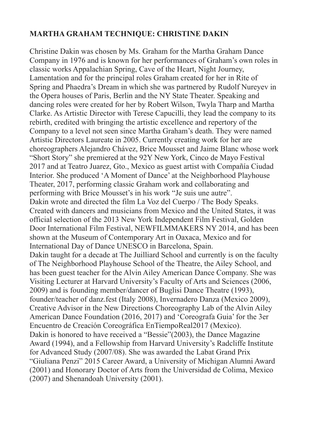## **MARTHA GRAHAM TECHNIQUE: CHRISTINE DAKIN**

Christine Dakin was chosen by Ms. Graham for the Martha Graham Dance Company in 1976 and is known for her performances of Graham's own roles in classic works Appalachian Spring, Cave of the Heart, Night Journey, Lamentation and for the principal roles Graham created for her in Rite of Spring and Phaedra's Dream in which she was partnered by Rudolf Nureyev in the Opera houses of Paris, Berlin and the NY State Theater. Speaking and dancing roles were created for her by Robert Wilson, Twyla Tharp and Martha Clarke. As Artistic Director with Terese Capucilli, they lead the company to its rebirth, credited with bringing the artistic excellence and repertory of the Company to a level not seen since Martha Graham's death. They were named Artistic Directors Laureate in 2005. Currently creating work for her are choreographers Alejandro Chávez, Brice Mousset and Jaime Blanc whose work "Short Story" she premiered at the 92Y New York, Cinco de Mayo Festival 2017 and at Teatro Juarez, Gto., Mexico as guest artist with Compañía Ciudad Interior. She produced 'A Moment of Dance' at the Neighborhood Playhouse Theater, 2017, performing classic Graham work and collaborating and performing with Brice Mousset's in his work "Je suis une autre". Dakin wrote and directed the film La Voz del Cuerpo / The Body Speaks. Created with dancers and musicians from Mexico and the United States, it was official selection of the 2013 New York Independent Film Festival, Golden Door International Film Festival, NEWFILMMAKERS NY 2014, and has been shown at the Museum of Contemporary Art in Oaxaca, Mexico and for International Day of Dance UNESCO in Barcelona, Spain. Dakin taught for a decade at The Juilliard School and currently is on the faculty of The Neighborhood Playhouse School of the Theatre, the Ailey School, and has been guest teacher for the Alvin Ailey American Dance Company. She was Visiting Lecturer at Harvard University's Faculty of Arts and Sciences (2006, 2009) and is founding member/dancer of Buglisi Dance Theatre (1993), founder/teacher of danz.fest (Italy 2008), Invernadero Danza (Mexico 2009), Creative Advisor in the New Directions Choreography Lab of the Alvin Ailey American Dance Foundation (2016, 2017) and 'Coreografa Guia' for the 3er Encuentro de Creación Coreográfica EnTiempoReal2017 (Mexico). Dakin is honored to have received a "Bessie"(2003), the Dance Magazine Award (1994), and a Fellowship from Harvard University's Radcliffe Institute for Advanced Study (2007/08). She was awarded the Labat Grand Prix "Giuliana Penzi" 2015 Career Award, a University of Michigan Alumni Award (2001) and Honorary Doctor of Arts from the Universidad de Colima, Mexico (2007) and Shenandoah University (2001).